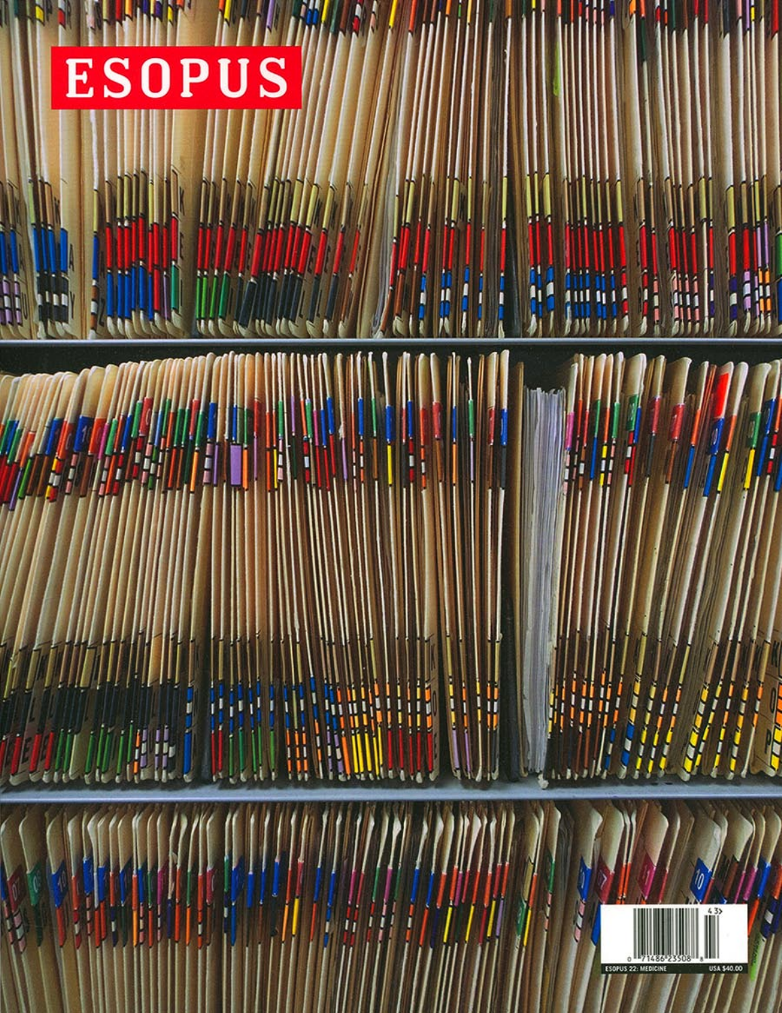# ESOPUS



Ш

 $\mathbf{H}$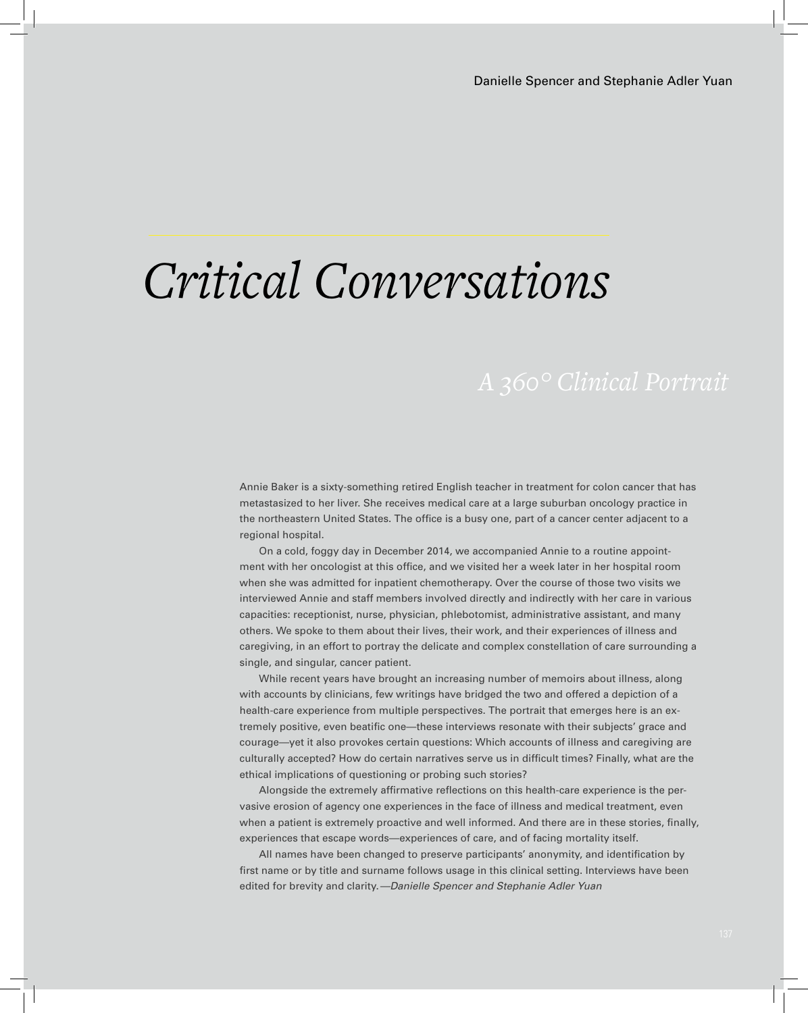# *Critical Conversations*

Annie Baker is a sixty-something retired English teacher in treatment for colon cancer that has metastasized to her liver. She receives medical care at a large suburban oncology practice in the northeastern United States. The office is a busy one, part of a cancer center adjacent to a regional hospital.

On a cold, foggy day in December 2014, we accompanied Annie to a routine appointment with her oncologist at this office, and we visited her a week later in her hospital room when she was admitted for inpatient chemotherapy. Over the course of those two visits we interviewed Annie and staff members involved directly and indirectly with her care in various capacities: receptionist, nurse, physician, phlebotomist, administrative assistant, and many others. We spoke to them about their lives, their work, and their experiences of illness and caregiving, in an effort to portray the delicate and complex constellation of care surrounding a single, and singular, cancer patient.

While recent years have brought an increasing number of memoirs about illness, along with accounts by clinicians, few writings have bridged the two and offered a depiction of a health-care experience from multiple perspectives. The portrait that emerges here is an extremely positive, even beatific one—these interviews resonate with their subjects' grace and courage—yet it also provokes certain questions: Which accounts of illness and caregiving are culturally accepted? How do certain narratives serve us in difficult times? Finally, what are the ethical implications of questioning or probing such stories?

Alongside the extremely affirmative reflections on this health-care experience is the pervasive erosion of agency one experiences in the face of illness and medical treatment, even when a patient is extremely proactive and well informed. And there are in these stories, finally, experiences that escape words—experiences of care, and of facing mortality itself.

All names have been changed to preserve participants' anonymity, and identification by first name or by title and surname follows usage in this clinical setting. Interviews have been edited for brevity and clarity. *—Danielle Spencer and Stephanie Adler Yuan*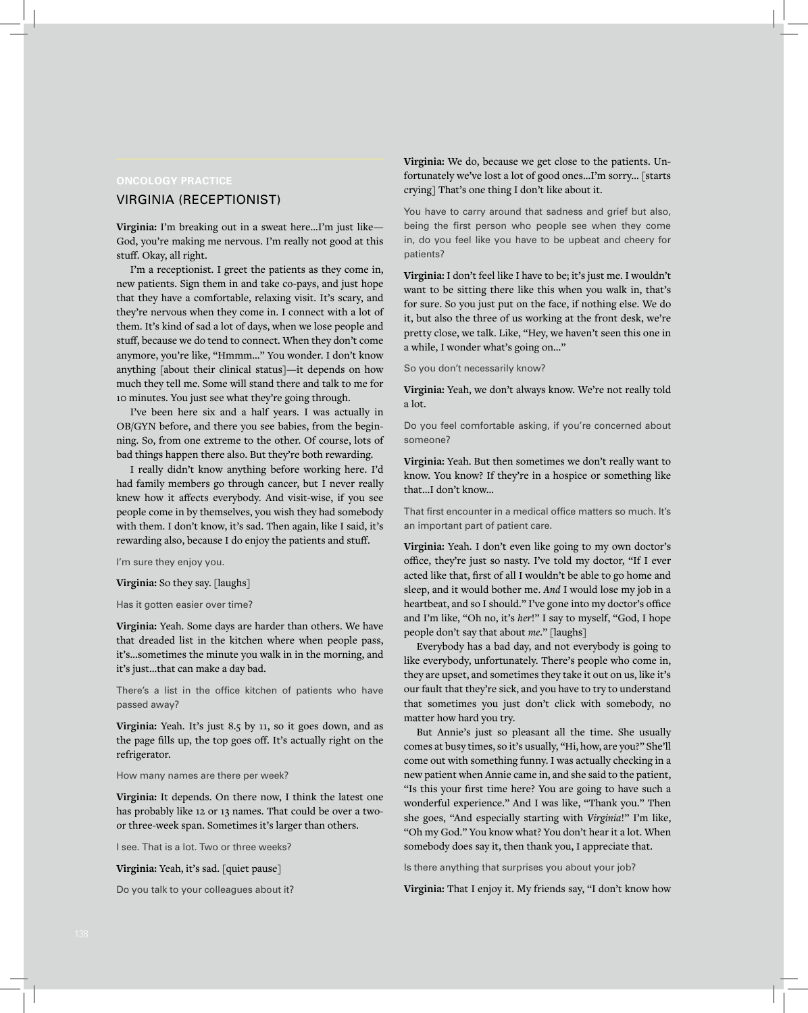#### VIRGINIA (RECEPTIONIST)

**Virginia:** I'm breaking out in a sweat here...I'm just like— God, you're making me nervous. I'm really not good at this stuff. Okay, all right.

I'm a receptionist. I greet the patients as they come in, new patients. Sign them in and take co-pays, and just hope that they have a comfortable, relaxing visit. It's scary, and they're nervous when they come in. I connect with a lot of them. It's kind of sad a lot of days, when we lose people and stuff, because we do tend to connect. When they don't come anymore, you're like, "Hmmm..." You wonder. I don't know anything [about their clinical status]—it depends on how much they tell me. Some will stand there and talk to me for 10 minutes. You just see what they're going through.

I've been here six and a half years. I was actually in OB/GYN before, and there you see babies, from the beginning. So, from one extreme to the other. Of course, lots of bad things happen there also. But they're both rewarding.

I really didn't know anything before working here. I'd had family members go through cancer, but I never really knew how it affects everybody. And visit-wise, if you see people come in by themselves, you wish they had somebody with them. I don't know, it's sad. Then again, like I said, it's rewarding also, because I do enjoy the patients and stuff.

I'm sure they enjoy you.

**Virginia:** So they say. [laughs]

#### Has it gotten easier over time?

**Virginia:** Yeah. Some days are harder than others. We have that dreaded list in the kitchen where when people pass, it's...sometimes the minute you walk in in the morning, and it's just...that can make a day bad.

There's a list in the office kitchen of patients who have passed away?

**Virginia:** Yeah. It's just 8.5 by 11, so it goes down, and as the page fills up, the top goes off. It's actually right on the refrigerator.

How many names are there per week?

**Virginia:** It depends. On there now, I think the latest one has probably like 12 or 13 names. That could be over a twoor three-week span. Sometimes it's larger than others.

I see. That is a lot. Two or three weeks?

**Virginia:** Yeah, it's sad. [quiet pause]

Do you talk to your colleagues about it?

**Virginia:** We do, because we get close to the patients. Unfortunately we've lost a lot of good ones...I'm sorry... [starts crying] That's one thing I don't like about it.

You have to carry around that sadness and grief but also, being the first person who people see when they come in, do you feel like you have to be upbeat and cheery for patients?

**Virginia:** I don't feel like I have to be; it's just me. I wouldn't want to be sitting there like this when you walk in, that's for sure. So you just put on the face, if nothing else. We do it, but also the three of us working at the front desk, we're pretty close, we talk. Like, "Hey, we haven't seen this one in a while, I wonder what's going on..."

So you don't necessarily know?

**Virginia:** Yeah, we don't always know. We're not really told a lot.

Do you feel comfortable asking, if you're concerned about someone?

**Virginia:** Yeah. But then sometimes we don't really want to know. You know? If they're in a hospice or something like that...I don't know...

That first encounter in a medical office matters so much. It's an important part of patient care.

**Virginia:** Yeah. I don't even like going to my own doctor's office, they're just so nasty. I've told my doctor, "If I ever acted like that, first of all I wouldn't be able to go home and sleep, and it would bother me. *And* I would lose my job in a heartbeat, and so I should." I've gone into my doctor's office and I'm like, "Oh no, it's *her*!" I say to myself, "God, I hope people don't say that about *me*." [laughs]

Everybody has a bad day, and not everybody is going to like everybody, unfortunately. There's people who come in, they are upset, and sometimes they take it out on us, like it's our fault that they're sick, and you have to try to understand that sometimes you just don't click with somebody, no matter how hard you try.

But Annie's just so pleasant all the time. She usually comes at busy times, so it's usually, "Hi, how, are you?" She'll come out with something funny. I was actually checking in a new patient when Annie came in, and she said to the patient, "Is this your first time here? You are going to have such a wonderful experience." And I was like, "Thank you." Then she goes, "And especially starting with *Virginia*!" I'm like, "Oh my God." You know what? You don't hear it a lot. When somebody does say it, then thank you, I appreciate that.

Is there anything that surprises you about your job?

**Virginia:** That I enjoy it. My friends say, "I don't know how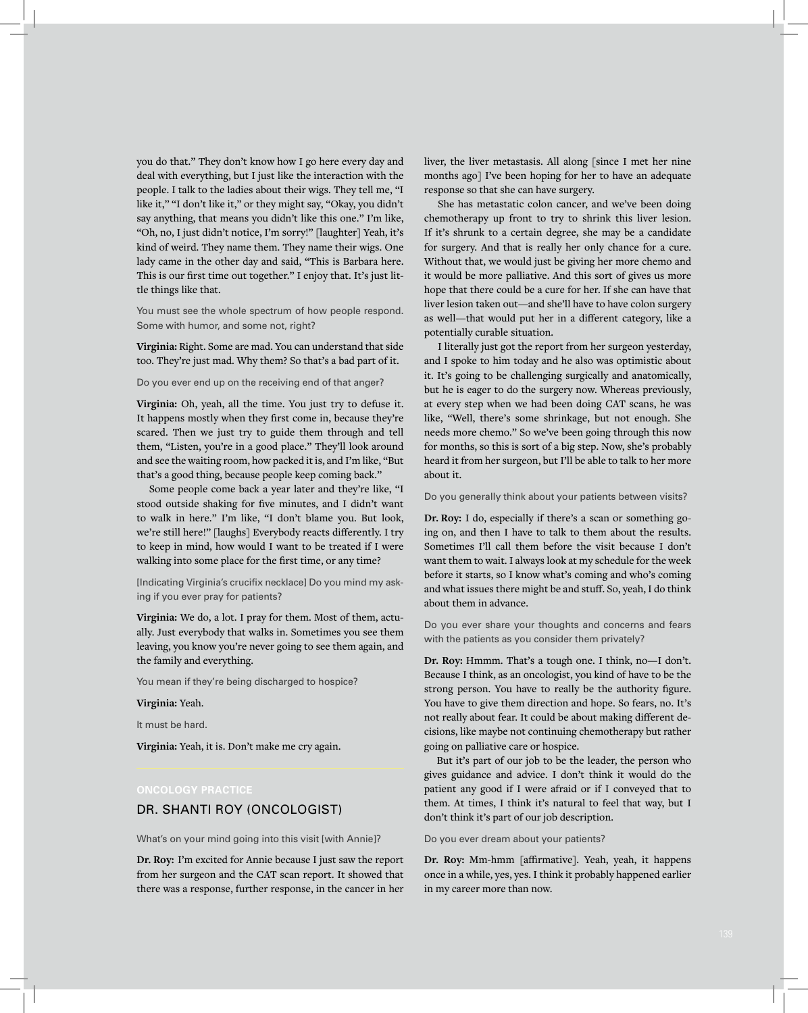you do that." They don't know how I go here every day and deal with everything, but I just like the interaction with the people. I talk to the ladies about their wigs. They tell me, "I like it," "I don't like it," or they might say, "Okay, you didn't say anything, that means you didn't like this one." I'm like, "Oh, no, I just didn't notice, I'm sorry!" [laughter] Yeah, it's kind of weird. They name them. They name their wigs. One lady came in the other day and said, "This is Barbara here. This is our first time out together." I enjoy that. It's just little things like that.

You must see the whole spectrum of how people respond. Some with humor, and some not, right?

**Virginia:** Right. Some are mad. You can understand that side too. They're just mad. Why them? So that's a bad part of it.

Do you ever end up on the receiving end of that anger?

**Virginia:** Oh, yeah, all the time. You just try to defuse it. It happens mostly when they first come in, because they're scared. Then we just try to guide them through and tell them, "Listen, you're in a good place." They'll look around and see the waiting room, how packed it is, and I'm like, "But that's a good thing, because people keep coming back."

Some people come back a year later and they're like, "I stood outside shaking for five minutes, and I didn't want to walk in here." I'm like, "I don't blame you. But look, we're still here!" [laughs] Everybody reacts differently. I try to keep in mind, how would I want to be treated if I were walking into some place for the first time, or any time?

[Indicating Virginia's crucifix necklace] Do you mind my asking if you ever pray for patients?

**Virginia:** We do, a lot. I pray for them. Most of them, actually. Just everybody that walks in. Sometimes you see them leaving, you know you're never going to see them again, and the family and everything.

You mean if they're being discharged to hospice?

#### **Virginia:** Yeah.

It must be hard.

**Virginia:** Yeah, it is. Don't make me cry again.

# DR. SHANTI ROY (ONCOLOGIST)

What's on your mind going into this visit [with Annie]?

**Dr. Roy:** I'm excited for Annie because I just saw the report from her surgeon and the CAT scan report. It showed that there was a response, further response, in the cancer in her liver, the liver metastasis. All along [since I met her nine months ago] I've been hoping for her to have an adequate response so that she can have surgery.

She has metastatic colon cancer, and we've been doing chemotherapy up front to try to shrink this liver lesion. If it's shrunk to a certain degree, she may be a candidate for surgery. And that is really her only chance for a cure. Without that, we would just be giving her more chemo and it would be more palliative. And this sort of gives us more hope that there could be a cure for her. If she can have that liver lesion taken out—and she'll have to have colon surgery as well—that would put her in a different category, like a potentially curable situation.

I literally just got the report from her surgeon yesterday, and I spoke to him today and he also was optimistic about it. It's going to be challenging surgically and anatomically, but he is eager to do the surgery now. Whereas previously, at every step when we had been doing CAT scans, he was like, "Well, there's some shrinkage, but not enough. She needs more chemo." So we've been going through this now for months, so this is sort of a big step. Now, she's probably heard it from her surgeon, but I'll be able to talk to her more about it.

#### Do you generally think about your patients between visits?

**Dr. Roy:** I do, especially if there's a scan or something going on, and then I have to talk to them about the results. Sometimes I'll call them before the visit because I don't want them to wait. I always look at my schedule for the week before it starts, so I know what's coming and who's coming and what issues there might be and stuff. So, yeah, I do think about them in advance.

Do you ever share your thoughts and concerns and fears with the patients as you consider them privately?

**Dr. Roy:** Hmmm. That's a tough one. I think, no—I don't. Because I think, as an oncologist, you kind of have to be the strong person. You have to really be the authority figure. You have to give them direction and hope. So fears, no. It's not really about fear. It could be about making different decisions, like maybe not continuing chemotherapy but rather going on palliative care or hospice.

But it's part of our job to be the leader, the person who gives guidance and advice. I don't think it would do the patient any good if I were afraid or if I conveyed that to them. At times, I think it's natural to feel that way, but I don't think it's part of our job description.

Do you ever dream about your patients?

**Dr. Roy:** Mm-hmm [affirmative]. Yeah, yeah, it happens once in a while, yes, yes. I think it probably happened earlier in my career more than now.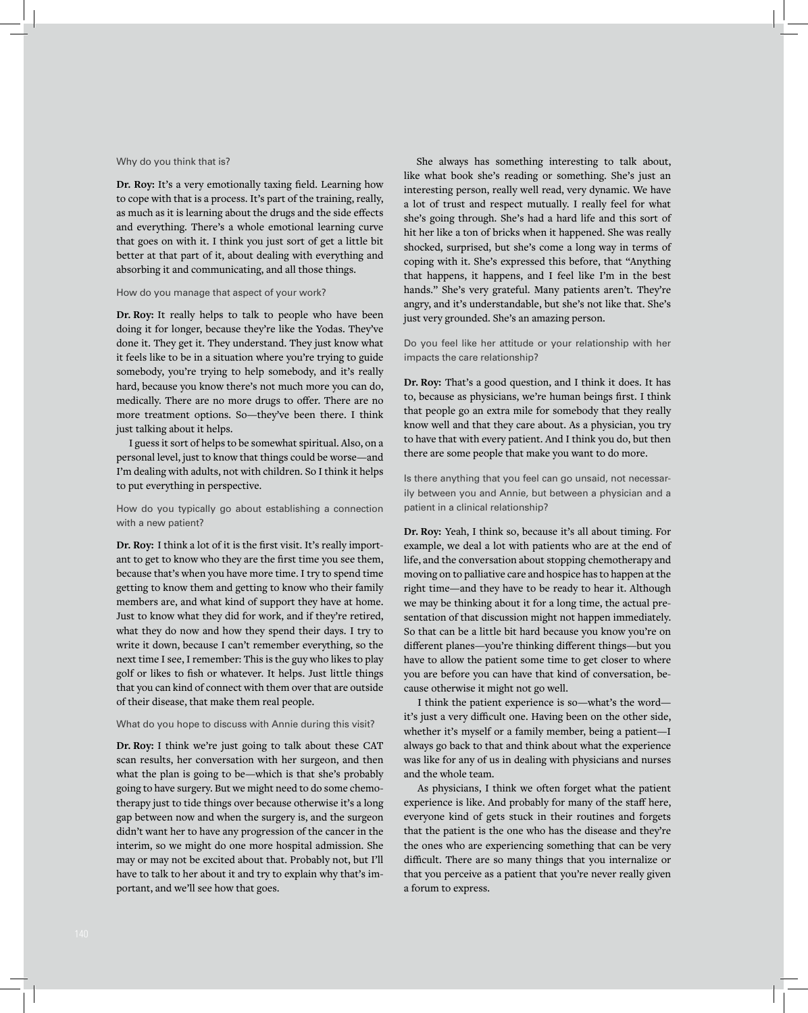#### Why do you think that is?

**Dr. Roy:** It's a very emotionally taxing field. Learning how to cope with that is a process. It's part of the training, really, as much as it is learning about the drugs and the side effects and everything. There's a whole emotional learning curve that goes on with it. I think you just sort of get a little bit better at that part of it, about dealing with everything and absorbing it and communicating, and all those things.

#### How do you manage that aspect of your work?

**Dr. Roy:** It really helps to talk to people who have been doing it for longer, because they're like the Yodas. They've done it. They get it. They understand. They just know what it feels like to be in a situation where you're trying to guide somebody, you're trying to help somebody, and it's really hard, because you know there's not much more you can do, medically. There are no more drugs to offer. There are no more treatment options. So—they've been there. I think just talking about it helps.

I guess it sort of helps to be somewhat spiritual. Also, on a personal level, just to know that things could be worse—and I'm dealing with adults, not with children. So I think it helps to put everything in perspective.

#### How do you typically go about establishing a connection with a new patient?

**Dr. Roy:** I think a lot of it is the first visit. It's really important to get to know who they are the first time you see them, because that's when you have more time. I try to spend time getting to know them and getting to know who their family members are, and what kind of support they have at home. Just to know what they did for work, and if they're retired, what they do now and how they spend their days. I try to write it down, because I can't remember everything, so the next time I see, I remember: This is the guy who likes to play golf or likes to fish or whatever. It helps. Just little things that you can kind of connect with them over that are outside of their disease, that make them real people.

#### What do you hope to discuss with Annie during this visit?

**Dr. Roy:** I think we're just going to talk about these CAT scan results, her conversation with her surgeon, and then what the plan is going to be—which is that she's probably going to have surgery. But we might need to do some chemotherapy just to tide things over because otherwise it's a long gap between now and when the surgery is, and the surgeon didn't want her to have any progression of the cancer in the interim, so we might do one more hospital admission. She may or may not be excited about that. Probably not, but I'll have to talk to her about it and try to explain why that's important, and we'll see how that goes.

She always has something interesting to talk about, like what book she's reading or something. She's just an interesting person, really well read, very dynamic. We have a lot of trust and respect mutually. I really feel for what she's going through. She's had a hard life and this sort of hit her like a ton of bricks when it happened. She was really shocked, surprised, but she's come a long way in terms of coping with it. She's expressed this before, that "Anything that happens, it happens, and I feel like I'm in the best hands." She's very grateful. Many patients aren't. They're angry, and it's understandable, but she's not like that. She's just very grounded. She's an amazing person.

Do you feel like her attitude or your relationship with her impacts the care relationship?

**Dr. Roy:** That's a good question, and I think it does. It has to, because as physicians, we're human beings first. I think that people go an extra mile for somebody that they really know well and that they care about. As a physician, you try to have that with every patient. And I think you do, but then there are some people that make you want to do more.

Is there anything that you feel can go unsaid, not necessarily between you and Annie, but between a physician and a patient in a clinical relationship?

**Dr. Roy:** Yeah, I think so, because it's all about timing. For example, we deal a lot with patients who are at the end of life, and the conversation about stopping chemotherapy and moving on to palliative care and hospice has to happen at the right time—and they have to be ready to hear it. Although we may be thinking about it for a long time, the actual presentation of that discussion might not happen immediately. So that can be a little bit hard because you know you're on different planes—you're thinking different things—but you have to allow the patient some time to get closer to where you are before you can have that kind of conversation, because otherwise it might not go well.

I think the patient experience is so—what's the word it's just a very difficult one. Having been on the other side, whether it's myself or a family member, being a patient—I always go back to that and think about what the experience was like for any of us in dealing with physicians and nurses and the whole team.

As physicians, I think we often forget what the patient experience is like. And probably for many of the staff here, everyone kind of gets stuck in their routines and forgets that the patient is the one who has the disease and they're the ones who are experiencing something that can be very difficult. There are so many things that you internalize or that you perceive as a patient that you're never really given a forum to express.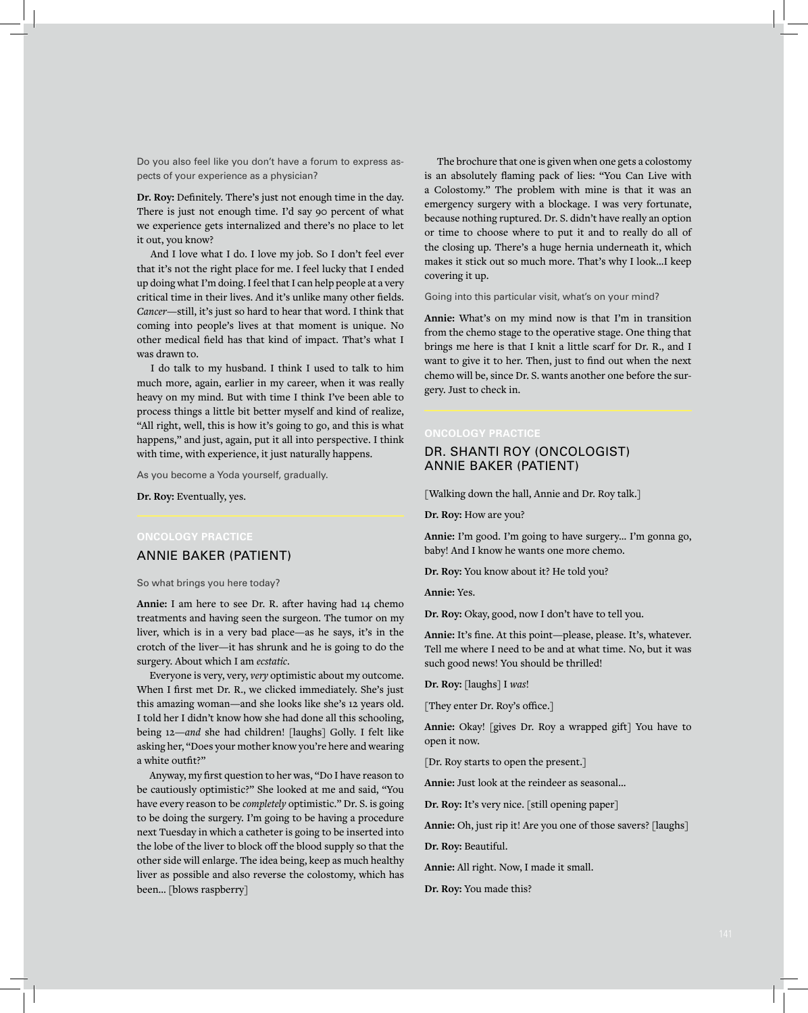Do you also feel like you don't have a forum to express aspects of your experience as a physician?

**Dr. Roy:** Definitely. There's just not enough time in the day. There is just not enough time. I'd say 90 percent of what we experience gets internalized and there's no place to let it out, you know?

And I love what I do. I love my job. So I don't feel ever that it's not the right place for me. I feel lucky that I ended up doing what I'm doing. I feel that I can help people at a very critical time in their lives. And it's unlike many other fields. *Cancer*—still, it's just so hard to hear that word. I think that coming into people's lives at that moment is unique. No other medical field has that kind of impact. That's what I was drawn to.

I do talk to my husband. I think I used to talk to him much more, again, earlier in my career, when it was really heavy on my mind. But with time I think I've been able to process things a little bit better myself and kind of realize, "All right, well, this is how it's going to go, and this is what happens," and just, again, put it all into perspective. I think with time, with experience, it just naturally happens.

As you become a Yoda yourself, gradually.

**Dr. Roy:** Eventually, yes.

# ANNIE BAKER (PATIENT)

So what brings you here today?

**Annie:** I am here to see Dr. R. after having had 14 chemo treatments and having seen the surgeon. The tumor on my liver, which is in a very bad place—as he says, it's in the crotch of the liver—it has shrunk and he is going to do the surgery. About which I am *ecstatic*.

Everyone is very, very, *very* optimistic about my outcome. When I first met Dr. R., we clicked immediately. She's just this amazing woman—and she looks like she's 12 years old. I told her I didn't know how she had done all this schooling, being 12—*and* she had children! [laughs] Golly. I felt like asking her, "Does your mother know you're here and wearing a white outfit?"

Anyway, my first question to her was, "Do I have reason to be cautiously optimistic?" She looked at me and said, "You have every reason to be *completely* optimistic." Dr. S. is going to be doing the surgery. I'm going to be having a procedure next Tuesday in which a catheter is going to be inserted into the lobe of the liver to block off the blood supply so that the other side will enlarge. The idea being, keep as much healthy liver as possible and also reverse the colostomy, which has been... [blows raspberry]

The brochure that one is given when one gets a colostomy is an absolutely flaming pack of lies: "You Can Live with a Colostomy." The problem with mine is that it was an emergency surgery with a blockage. I was very fortunate, because nothing ruptured. Dr. S. didn't have really an option or time to choose where to put it and to really do all of the closing up. There's a huge hernia underneath it, which makes it stick out so much more. That's why I look...I keep covering it up.

Going into this particular visit, what's on your mind?

**Annie:** What's on my mind now is that I'm in transition from the chemo stage to the operative stage. One thing that brings me here is that I knit a little scarf for Dr. R., and I want to give it to her. Then, just to find out when the next chemo will be, since Dr. S. wants another one before the surgery. Just to check in.

#### DR. SHANTI ROY (ONCOLOGIST) ANNIE BAKER (PATIENT)

[Walking down the hall, Annie and Dr. Roy talk.]

**Dr. Roy:** How are you?

**Annie:** I'm good. I'm going to have surgery... I'm gonna go, baby! And I know he wants one more chemo.

**Dr. Roy:** You know about it? He told you?

**Annie:** Yes.

**Dr. Roy:** Okay, good, now I don't have to tell you.

**Annie:** It's fine. At this point—please, please. It's, whatever. Tell me where I need to be and at what time. No, but it was such good news! You should be thrilled!

**Dr. Roy:** [laughs] I *was*!

[They enter Dr. Roy's office.]

**Annie:** Okay! [gives Dr. Roy a wrapped gift] You have to open it now.

[Dr. Roy starts to open the present.]

**Annie:** Just look at the reindeer as seasonal...

**Dr. Roy:** It's very nice. [still opening paper]

**Annie:** Oh, just rip it! Are you one of those savers? [laughs]

**Dr. Roy:** Beautiful.

**Annie:** All right. Now, I made it small.

**Dr. Roy:** You made this?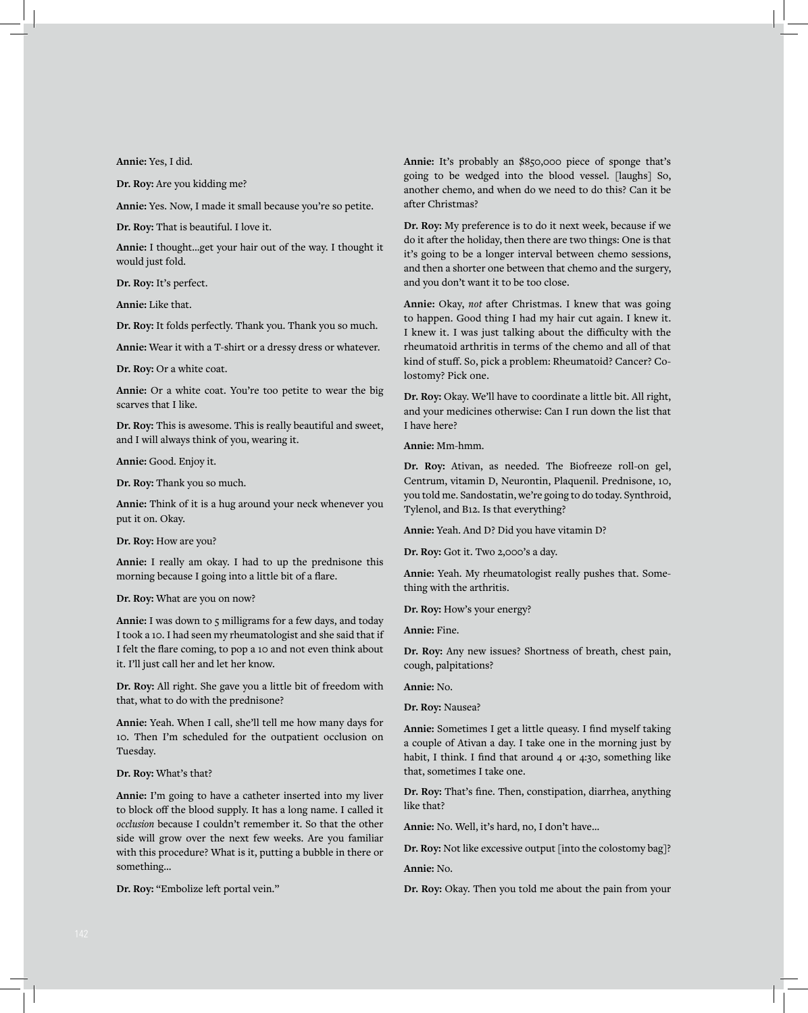**Annie:** Yes, I did.

**Dr. Roy:** Are you kidding me?

**Annie:** Yes. Now, I made it small because you're so petite.

**Dr. Roy:** That is beautiful. I love it.

**Annie:** I thought...get your hair out of the way. I thought it would just fold.

**Dr. Roy:** It's perfect.

**Annie:** Like that.

**Dr. Roy:** It folds perfectly. Thank you. Thank you so much.

**Annie:** Wear it with a T-shirt or a dressy dress or whatever.

**Dr. Roy:** Or a white coat.

**Annie:** Or a white coat. You're too petite to wear the big scarves that I like.

**Dr. Roy:** This is awesome. This is really beautiful and sweet, and I will always think of you, wearing it.

**Annie:** Good. Enjoy it.

**Dr. Roy:** Thank you so much.

**Annie:** Think of it is a hug around your neck whenever you put it on. Okay.

**Dr. Roy:** How are you?

**Annie:** I really am okay. I had to up the prednisone this morning because I going into a little bit of a flare.

#### **Dr. Roy:** What are you on now?

**Annie:** I was down to 5 milligrams for a few days, and today I took a 10. I had seen my rheumatologist and she said that if I felt the flare coming, to pop a 10 and not even think about it. I'll just call her and let her know.

**Dr. Roy:** All right. She gave you a little bit of freedom with that, what to do with the prednisone?

**Annie:** Yeah. When I call, she'll tell me how many days for 10. Then I'm scheduled for the outpatient occlusion on Tuesday.

**Dr. Roy:** What's that?

**Annie:** I'm going to have a catheter inserted into my liver to block off the blood supply. It has a long name. I called it *occlusion* because I couldn't remember it. So that the other side will grow over the next few weeks. Are you familiar with this procedure? What is it, putting a bubble in there or something...

**Dr. Roy:** "Embolize left portal vein."

**Annie:** It's probably an \$850,000 piece of sponge that's going to be wedged into the blood vessel. [laughs] So, another chemo, and when do we need to do this? Can it be after Christmas?

**Dr. Roy:** My preference is to do it next week, because if we do it after the holiday, then there are two things: One is that it's going to be a longer interval between chemo sessions, and then a shorter one between that chemo and the surgery, and you don't want it to be too close.

**Annie:** Okay, *not* after Christmas. I knew that was going to happen. Good thing I had my hair cut again. I knew it. I knew it. I was just talking about the difficulty with the rheumatoid arthritis in terms of the chemo and all of that kind of stuff. So, pick a problem: Rheumatoid? Cancer? Colostomy? Pick one.

**Dr. Roy:** Okay. We'll have to coordinate a little bit. All right, and your medicines otherwise: Can I run down the list that I have here?

**Annie:** Mm-hmm.

**Dr. Roy:** Ativan, as needed. The Biofreeze roll-on gel, Centrum, vitamin D, Neurontin, Plaquenil. Prednisone, 10, you told me. Sandostatin, we're going to do today. Synthroid, Tylenol, and B12. Is that everything?

**Annie:** Yeah. And D? Did you have vitamin D?

**Dr. Roy:** Got it. Two 2,000's a day.

**Annie:** Yeah. My rheumatologist really pushes that. Something with the arthritis.

**Dr. Roy:** How's your energy?

**Annie:** Fine.

**Dr. Roy:** Any new issues? Shortness of breath, chest pain, cough, palpitations?

**Annie:** No.

**Dr. Roy:** Nausea?

**Annie:** Sometimes I get a little queasy. I find myself taking a couple of Ativan a day. I take one in the morning just by habit, I think. I find that around 4 or 4:30, something like that, sometimes I take one.

**Dr. Roy:** That's fine. Then, constipation, diarrhea, anything like that?

**Annie:** No. Well, it's hard, no, I don't have...

**Dr. Roy:** Not like excessive output [into the colostomy bag]?

**Annie:** No.

**Dr. Roy:** Okay. Then you told me about the pain from your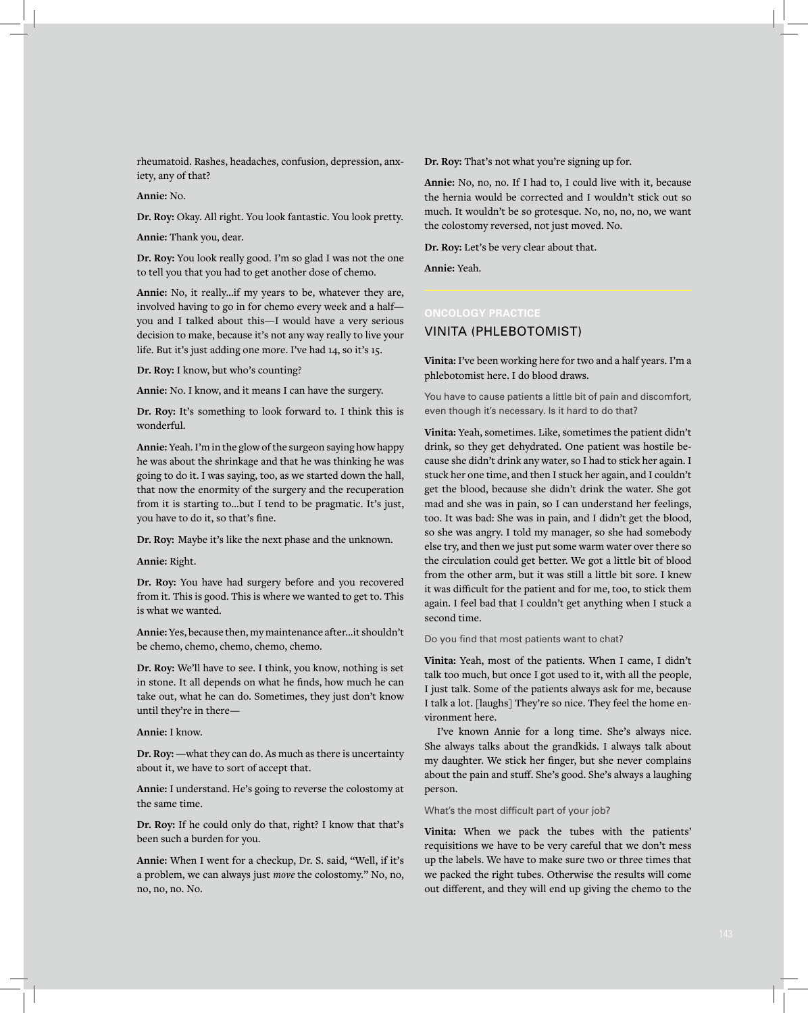rheumatoid. Rashes, headaches, confusion, depression, anxiety, any of that?

**Annie:** No.

**Dr. Roy:** Okay. All right. You look fantastic. You look pretty.

**Annie:** Thank you, dear.

**Dr. Roy:** You look really good. I'm so glad I was not the one to tell you that you had to get another dose of chemo.

**Annie:** No, it really...if my years to be, whatever they are, involved having to go in for chemo every week and a half you and I talked about this—I would have a very serious decision to make, because it's not any way really to live your life. But it's just adding one more. I've had 14, so it's 15.

**Dr. Roy:** I know, but who's counting?

**Annie:** No. I know, and it means I can have the surgery.

**Dr. Roy:** It's something to look forward to. I think this is wonderful.

**Annie:** Yeah. I'm in the glow of the surgeon saying how happy he was about the shrinkage and that he was thinking he was going to do it. I was saying, too, as we started down the hall, that now the enormity of the surgery and the recuperation from it is starting to...but I tend to be pragmatic. It's just, you have to do it, so that's fine.

**Dr. Roy:** Maybe it's like the next phase and the unknown.

**Annie:** Right.

**Dr. Roy:** You have had surgery before and you recovered from it. This is good. This is where we wanted to get to. This is what we wanted.

**Annie:** Yes, because then, my maintenance after...it shouldn't be chemo, chemo, chemo, chemo, chemo.

**Dr. Roy:** We'll have to see. I think, you know, nothing is set in stone. It all depends on what he finds, how much he can take out, what he can do. Sometimes, they just don't know until they're in there—

#### **Annie:** I know.

**Dr. Roy:** —what they can do. As much as there is uncertainty about it, we have to sort of accept that.

**Annie:** I understand. He's going to reverse the colostomy at the same time.

**Dr. Roy:** If he could only do that, right? I know that that's been such a burden for you.

**Annie:** When I went for a checkup, Dr. S. said, "Well, if it's a problem, we can always just *move* the colostomy." No, no, no, no, no. No.

**Dr. Roy:** That's not what you're signing up for.

**Annie:** No, no, no. If I had to, I could live with it, because the hernia would be corrected and I wouldn't stick out so much. It wouldn't be so grotesque. No, no, no, no, we want the colostomy reversed, not just moved. No.

**Dr. Roy:** Let's be very clear about that.

**Annie:** Yeah.

### VINITA (PHLEBOTOMIST)

**Vinita:** I've been working here for two and a half years. I'm a phlebotomist here. I do blood draws.

You have to cause patients a little bit of pain and discomfort, even though it's necessary. Is it hard to do that?

**Vinita:** Yeah, sometimes. Like, sometimes the patient didn't drink, so they get dehydrated. One patient was hostile because she didn't drink any water, so I had to stick her again. I stuck her one time, and then I stuck her again, and I couldn't get the blood, because she didn't drink the water. She got mad and she was in pain, so I can understand her feelings, too. It was bad: She was in pain, and I didn't get the blood, so she was angry. I told my manager, so she had somebody else try, and then we just put some warm water over there so the circulation could get better. We got a little bit of blood from the other arm, but it was still a little bit sore. I knew it was difficult for the patient and for me, too, to stick them again. I feel bad that I couldn't get anything when I stuck a second time.

#### Do you find that most patients want to chat?

**Vinita:** Yeah, most of the patients. When I came, I didn't talk too much, but once I got used to it, with all the people, I just talk. Some of the patients always ask for me, because I talk a lot. [laughs] They're so nice. They feel the home environment here.

I've known Annie for a long time. She's always nice. She always talks about the grandkids. I always talk about my daughter. We stick her finger, but she never complains about the pain and stuff. She's good. She's always a laughing person.

What's the most difficult part of your job?

**Vinita:** When we pack the tubes with the patients' requisitions we have to be very careful that we don't mess up the labels. We have to make sure two or three times that we packed the right tubes. Otherwise the results will come out different, and they will end up giving the chemo to the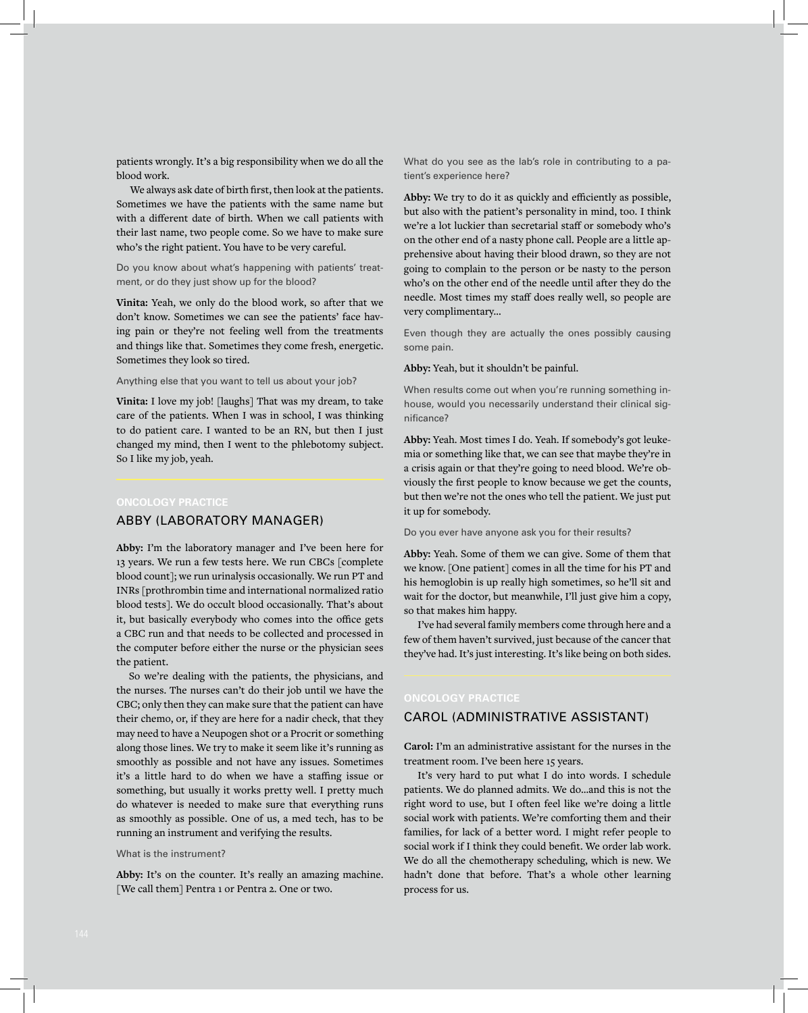patients wrongly. It's a big responsibility when we do all the blood work.

We always ask date of birth first, then look at the patients. Sometimes we have the patients with the same name but with a different date of birth. When we call patients with their last name, two people come. So we have to make sure who's the right patient. You have to be very careful.

Do you know about what's happening with patients' treatment, or do they just show up for the blood?

**Vinita:** Yeah, we only do the blood work, so after that we don't know. Sometimes we can see the patients' face having pain or they're not feeling well from the treatments and things like that. Sometimes they come fresh, energetic. Sometimes they look so tired.

#### Anything else that you want to tell us about your job?

**Vinita:** I love my job! [laughs] That was my dream, to take care of the patients. When I was in school, I was thinking to do patient care. I wanted to be an RN, but then I just changed my mind, then I went to the phlebotomy subject. So I like my job, yeah.

#### ABBY (LABORATORY MANAGER)

**Abby:** I'm the laboratory manager and I've been here for 13 years. We run a few tests here. We run CBCs [complete blood count]; we run urinalysis occasionally. We run PT and INRs [prothrombin time and international normalized ratio blood tests]. We do occult blood occasionally. That's about it, but basically everybody who comes into the office gets a CBC run and that needs to be collected and processed in the computer before either the nurse or the physician sees the patient.

So we're dealing with the patients, the physicians, and the nurses. The nurses can't do their job until we have the CBC; only then they can make sure that the patient can have their chemo, or, if they are here for a nadir check, that they may need to have a Neupogen shot or a Procrit or something along those lines. We try to make it seem like it's running as smoothly as possible and not have any issues. Sometimes it's a little hard to do when we have a staffing issue or something, but usually it works pretty well. I pretty much do whatever is needed to make sure that everything runs as smoothly as possible. One of us, a med tech, has to be running an instrument and verifying the results.

#### What is the instrument?

Abby: It's on the counter. It's really an amazing machine. [We call them] Pentra 1 or Pentra 2. One or two.

What do you see as the lab's role in contributing to a patient's experience here?

**Abby:** We try to do it as quickly and efficiently as possible, but also with the patient's personality in mind, too. I think we're a lot luckier than secretarial staff or somebody who's on the other end of a nasty phone call. People are a little apprehensive about having their blood drawn, so they are not going to complain to the person or be nasty to the person who's on the other end of the needle until after they do the needle. Most times my staff does really well, so people are very complimentary...

Even though they are actually the ones possibly causing some pain.

#### **Abby:** Yeah, but it shouldn't be painful.

When results come out when you're running something inhouse, would you necessarily understand their clinical significance?

**Abby:** Yeah. Most times I do. Yeah. If somebody's got leukemia or something like that, we can see that maybe they're in a crisis again or that they're going to need blood. We're obviously the first people to know because we get the counts, but then we're not the ones who tell the patient. We just put it up for somebody.

#### Do you ever have anyone ask you for their results?

**Abby:** Yeah. Some of them we can give. Some of them that we know. [One patient] comes in all the time for his PT and his hemoglobin is up really high sometimes, so he'll sit and wait for the doctor, but meanwhile, I'll just give him a copy, so that makes him happy.

I've had several family members come through here and a few of them haven't survived, just because of the cancer that they've had. It's just interesting. It's like being on both sides.

# CAROL (ADMINISTRATIVE ASSISTANT)

**Carol:** I'm an administrative assistant for the nurses in the treatment room. I've been here 15 years.

It's very hard to put what I do into words. I schedule patients. We do planned admits. We do...and this is not the right word to use, but I often feel like we're doing a little social work with patients. We're comforting them and their families, for lack of a better word. I might refer people to social work if I think they could benefit. We order lab work. We do all the chemotherapy scheduling, which is new. We hadn't done that before. That's a whole other learning process for us.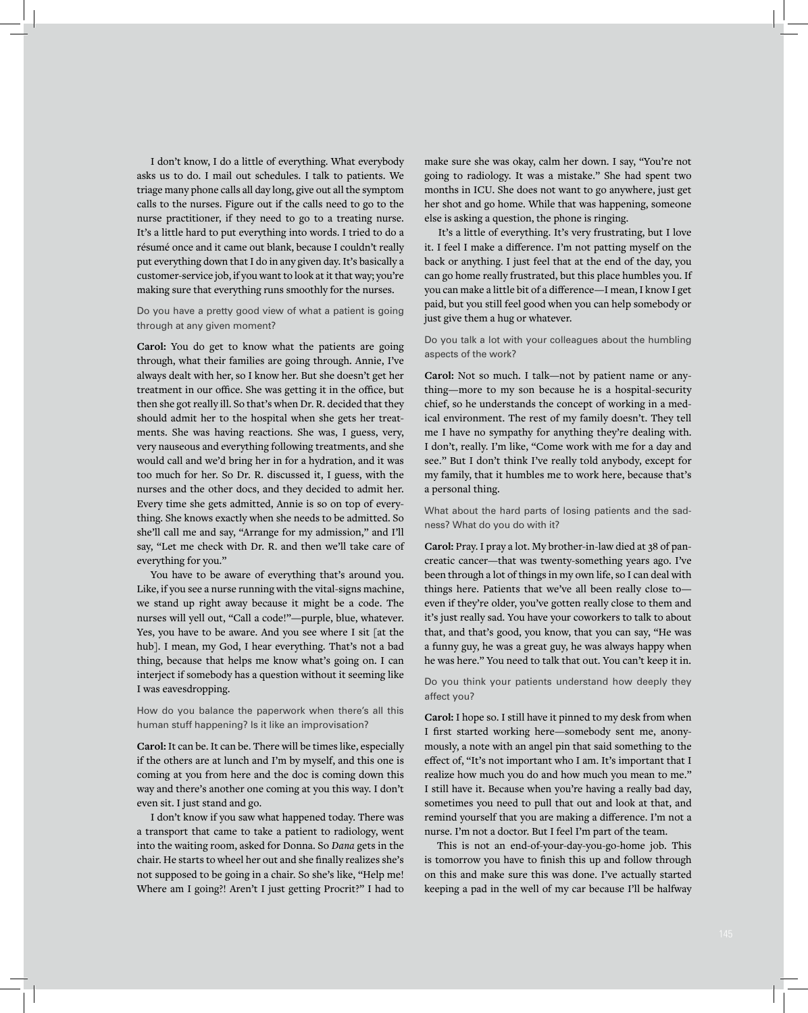I don't know, I do a little of everything. What everybody asks us to do. I mail out schedules. I talk to patients. We triage many phone calls all day long, give out all the symptom calls to the nurses. Figure out if the calls need to go to the nurse practitioner, if they need to go to a treating nurse. It's a little hard to put everything into words. I tried to do a résumé once and it came out blank, because I couldn't really put everything down that I do in any given day. It's basically a customer-service job, if you want to look at it that way; you're making sure that everything runs smoothly for the nurses.

Do you have a pretty good view of what a patient is going through at any given moment?

**Carol:** You do get to know what the patients are going through, what their families are going through. Annie, I've always dealt with her, so I know her. But she doesn't get her treatment in our office. She was getting it in the office, but then she got really ill. So that's when Dr. R. decided that they should admit her to the hospital when she gets her treatments. She was having reactions. She was, I guess, very, very nauseous and everything following treatments, and she would call and we'd bring her in for a hydration, and it was too much for her. So Dr. R. discussed it, I guess, with the nurses and the other docs, and they decided to admit her. Every time she gets admitted, Annie is so on top of everything. She knows exactly when she needs to be admitted. So she'll call me and say, "Arrange for my admission," and I'll say, "Let me check with Dr. R. and then we'll take care of everything for you."

You have to be aware of everything that's around you. Like, if you see a nurse running with the vital-signs machine, we stand up right away because it might be a code. The nurses will yell out, "Call a code!"—purple, blue, whatever. Yes, you have to be aware. And you see where I sit [at the hub]. I mean, my God, I hear everything. That's not a bad thing, because that helps me know what's going on. I can interject if somebody has a question without it seeming like I was eavesdropping.

How do you balance the paperwork when there's all this human stuff happening? Is it like an improvisation?

**Carol:** It can be. It can be. There will be times like, especially if the others are at lunch and I'm by myself, and this one is coming at you from here and the doc is coming down this way and there's another one coming at you this way. I don't even sit. I just stand and go.

I don't know if you saw what happened today. There was a transport that came to take a patient to radiology, went into the waiting room, asked for Donna. So *Dana* gets in the chair. He starts to wheel her out and she finally realizes she's not supposed to be going in a chair. So she's like, "Help me! Where am I going?! Aren't I just getting Procrit?" I had to

make sure she was okay, calm her down. I say, "You're not going to radiology. It was a mistake." She had spent two months in ICU. She does not want to go anywhere, just get her shot and go home. While that was happening, someone else is asking a question, the phone is ringing.

It's a little of everything. It's very frustrating, but I love it. I feel I make a difference. I'm not patting myself on the back or anything. I just feel that at the end of the day, you can go home really frustrated, but this place humbles you. If you can make a little bit of a difference—I mean, I know I get paid, but you still feel good when you can help somebody or just give them a hug or whatever.

Do you talk a lot with your colleagues about the humbling aspects of the work?

**Carol:** Not so much. I talk—not by patient name or anything—more to my son because he is a hospital-security chief, so he understands the concept of working in a medical environment. The rest of my family doesn't. They tell me I have no sympathy for anything they're dealing with. I don't, really. I'm like, "Come work with me for a day and see." But I don't think I've really told anybody, except for my family, that it humbles me to work here, because that's a personal thing.

What about the hard parts of losing patients and the sadness? What do you do with it?

**Carol:** Pray. I pray a lot. My brother-in-law died at 38 of pancreatic cancer—that was twenty-something years ago. I've been through a lot of things in my own life, so I can deal with things here. Patients that we've all been really close to even if they're older, you've gotten really close to them and it's just really sad. You have your coworkers to talk to about that, and that's good, you know, that you can say, "He was a funny guy, he was a great guy, he was always happy when he was here." You need to talk that out. You can't keep it in.

Do you think your patients understand how deeply they affect you?

**Carol:** I hope so. I still have it pinned to my desk from when I first started working here—somebody sent me, anonymously, a note with an angel pin that said something to the effect of, "It's not important who I am. It's important that I realize how much you do and how much you mean to me." I still have it. Because when you're having a really bad day, sometimes you need to pull that out and look at that, and remind yourself that you are making a difference. I'm not a nurse. I'm not a doctor. But I feel I'm part of the team.

This is not an end-of-your-day-you-go-home job. This is tomorrow you have to finish this up and follow through on this and make sure this was done. I've actually started keeping a pad in the well of my car because I'll be halfway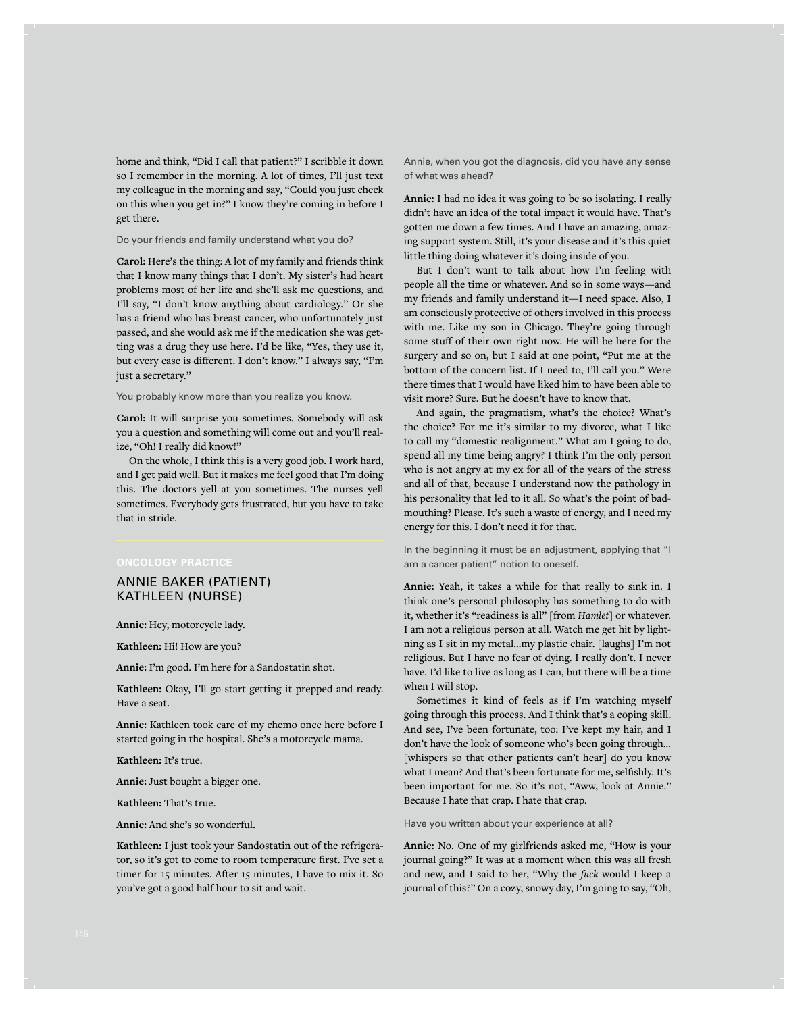home and think, "Did I call that patient?" I scribble it down so I remember in the morning. A lot of times, I'll just text my colleague in the morning and say, "Could you just check on this when you get in?" I know they're coming in before I get there.

#### Do your friends and family understand what you do?

**Carol:** Here's the thing: A lot of my family and friends think that I know many things that I don't. My sister's had heart problems most of her life and she'll ask me questions, and I'll say, "I don't know anything about cardiology." Or she has a friend who has breast cancer, who unfortunately just passed, and she would ask me if the medication she was getting was a drug they use here. I'd be like, "Yes, they use it, but every case is different. I don't know." I always say, "I'm just a secretary."

#### You probably know more than you realize you know.

**Carol:** It will surprise you sometimes. Somebody will ask you a question and something will come out and you'll realize, "Oh! I really did know!"

On the whole, I think this is a very good job. I work hard, and I get paid well. But it makes me feel good that I'm doing this. The doctors yell at you sometimes. The nurses yell sometimes. Everybody gets frustrated, but you have to take that in stride.

# **ONCOLOGY PRACTICE**

# ANNIE BAKER (PATIENT) KATHLEEN (NURSE)

**Annie:** Hey, motorcycle lady.

**Kathleen:** Hi! How are you?

**Annie:** I'm good. I'm here for a Sandostatin shot.

**Kathleen:** Okay, I'll go start getting it prepped and ready. Have a seat.

**Annie:** Kathleen took care of my chemo once here before I started going in the hospital. She's a motorcycle mama.

**Kathleen:** It's true.

**Annie:** Just bought a bigger one.

**Kathleen:** That's true.

**Annie:** And she's so wonderful.

**Kathleen:** I just took your Sandostatin out of the refrigerator, so it's got to come to room temperature first. I've set a timer for 15 minutes. After 15 minutes, I have to mix it. So you've got a good half hour to sit and wait.

Annie, when you got the diagnosis, did you have any sense of what was ahead?

**Annie:** I had no idea it was going to be so isolating. I really didn't have an idea of the total impact it would have. That's gotten me down a few times. And I have an amazing, amazing support system. Still, it's your disease and it's this quiet little thing doing whatever it's doing inside of you.

But I don't want to talk about how I'm feeling with people all the time or whatever. And so in some ways—and my friends and family understand it—I need space. Also, I am consciously protective of others involved in this process with me. Like my son in Chicago. They're going through some stuff of their own right now. He will be here for the surgery and so on, but I said at one point, "Put me at the bottom of the concern list. If I need to, I'll call you." Were there times that I would have liked him to have been able to visit more? Sure. But he doesn't have to know that.

And again, the pragmatism, what's the choice? What's the choice? For me it's similar to my divorce, what I like to call my "domestic realignment." What am I going to do, spend all my time being angry? I think I'm the only person who is not angry at my ex for all of the years of the stress and all of that, because I understand now the pathology in his personality that led to it all. So what's the point of badmouthing? Please. It's such a waste of energy, and I need my energy for this. I don't need it for that.

In the beginning it must be an adjustment, applying that "I am a cancer patient" notion to oneself.

**Annie:** Yeah, it takes a while for that really to sink in. I think one's personal philosophy has something to do with it, whether it's "readiness is all" [from *Hamlet*] or whatever. I am not a religious person at all. Watch me get hit by lightning as I sit in my metal...my plastic chair. [laughs] I'm not religious. But I have no fear of dying. I really don't. I never have. I'd like to live as long as I can, but there will be a time when I will stop.

Sometimes it kind of feels as if I'm watching myself going through this process. And I think that's a coping skill. And see, I've been fortunate, too: I've kept my hair, and I don't have the look of someone who's been going through... [whispers so that other patients can't hear] do you know what I mean? And that's been fortunate for me, selfishly. It's been important for me. So it's not, "Aww, look at Annie." Because I hate that crap. I hate that crap.

#### Have you written about your experience at all?

**Annie:** No. One of my girlfriends asked me, "How is your journal going?" It was at a moment when this was all fresh and new, and I said to her, "Why the *fuck* would I keep a journal of this?" On a cozy, snowy day, I'm going to say, "Oh,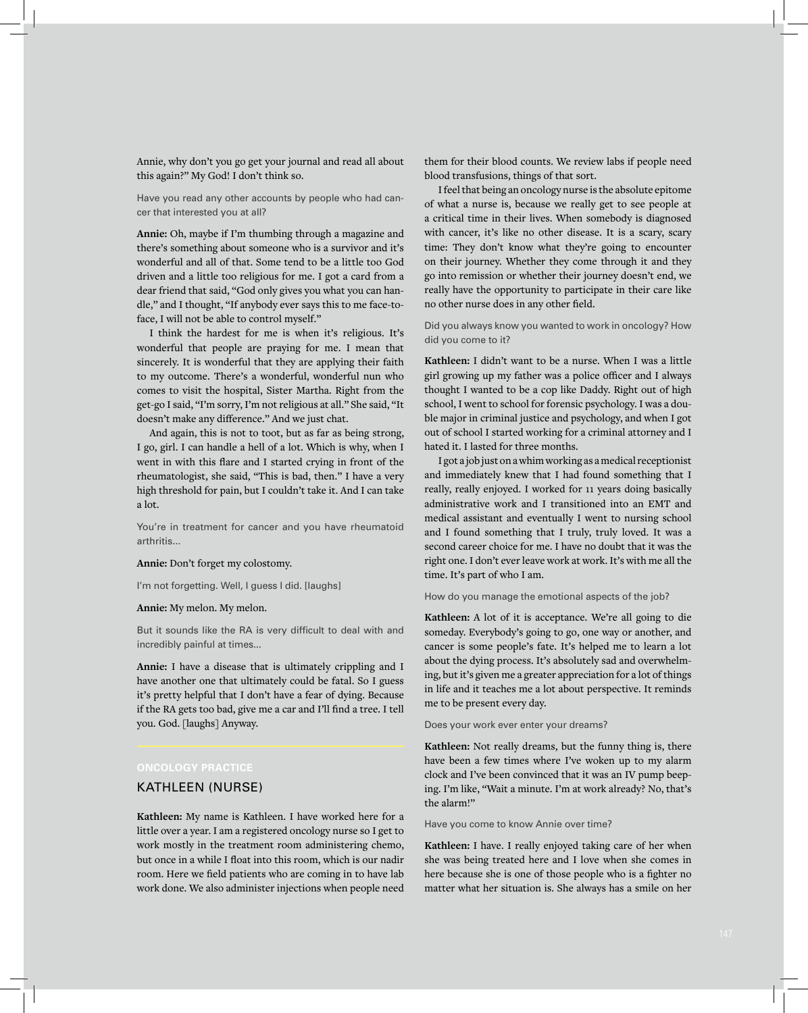Annie, why don't you go get your journal and read all about this again?" My God! I don't think so.

Have you read any other accounts by people who had cancer that interested you at all?

**Annie:** Oh, maybe if I'm thumbing through a magazine and there's something about someone who is a survivor and it's wonderful and all of that. Some tend to be a little too God driven and a little too religious for me. I got a card from a dear friend that said, "God only gives you what you can handle," and I thought, "If anybody ever says this to me face-toface, I will not be able to control myself."

I think the hardest for me is when it's religious. It's wonderful that people are praying for me. I mean that sincerely. It is wonderful that they are applying their faith to my outcome. There's a wonderful, wonderful nun who comes to visit the hospital, Sister Martha. Right from the get-go I said, "I'm sorry, I'm not religious at all." She said, "It doesn't make any difference." And we just chat.

And again, this is not to toot, but as far as being strong, I go, girl. I can handle a hell of a lot. Which is why, when I went in with this flare and I started crying in front of the rheumatologist, she said, "This is bad, then." I have a very high threshold for pain, but I couldn't take it. And I can take a lot.

You're in treatment for cancer and you have rheumatoid arthritis...

#### **Annie:** Don't forget my colostomy.

I'm not forgetting. Well, I guess I did. [laughs]

#### **Annie:** My melon. My melon.

But it sounds like the RA is very difficult to deal with and incredibly painful at times...

**Annie:** I have a disease that is ultimately crippling and I have another one that ultimately could be fatal. So I guess it's pretty helpful that I don't have a fear of dying. Because if the RA gets too bad, give me a car and I'll find a tree. I tell you. God. [laughs] Anyway.

#### **ONCOLOGY PRACTICE**

# KATHLEEN (NURSE)

**Kathleen:** My name is Kathleen. I have worked here for a little over a year. I am a registered oncology nurse so I get to work mostly in the treatment room administering chemo, but once in a while I float into this room, which is our nadir room. Here we field patients who are coming in to have lab work done. We also administer injections when people need

them for their blood counts. We review labs if people need blood transfusions, things of that sort.

I feel that being an oncology nurse is the absolute epitome of what a nurse is, because we really get to see people at a critical time in their lives. When somebody is diagnosed with cancer, it's like no other disease. It is a scary, scary time: They don't know what they're going to encounter on their journey. Whether they come through it and they go into remission or whether their journey doesn't end, we really have the opportunity to participate in their care like no other nurse does in any other field.

Did you always know you wanted to work in oncology? How did you come to it?

**Kathleen:** I didn't want to be a nurse. When I was a little girl growing up my father was a police officer and I always thought I wanted to be a cop like Daddy. Right out of high school, I went to school for forensic psychology. I was a double major in criminal justice and psychology, and when I got out of school I started working for a criminal attorney and I hated it. I lasted for three months.

I got a job just on a whim working as a medical receptionist and immediately knew that I had found something that I really, really enjoyed. I worked for 11 years doing basically administrative work and I transitioned into an EMT and medical assistant and eventually I went to nursing school and I found something that I truly, truly loved. It was a second career choice for me. I have no doubt that it was the right one. I don't ever leave work at work. It's with me all the time. It's part of who I am.

How do you manage the emotional aspects of the job?

**Kathleen:** A lot of it is acceptance. We're all going to die someday. Everybody's going to go, one way or another, and cancer is some people's fate. It's helped me to learn a lot about the dying process. It's absolutely sad and overwhelming, but it's given me a greater appreciation for a lot of things in life and it teaches me a lot about perspective. It reminds me to be present every day.

#### Does your work ever enter your dreams?

**Kathleen:** Not really dreams, but the funny thing is, there have been a few times where I've woken up to my alarm clock and I've been convinced that it was an IV pump beeping. I'm like, "Wait a minute. I'm at work already? No, that's the alarm!"

#### Have you come to know Annie over time?

**Kathleen:** I have. I really enjoyed taking care of her when she was being treated here and I love when she comes in here because she is one of those people who is a fighter no matter what her situation is. She always has a smile on her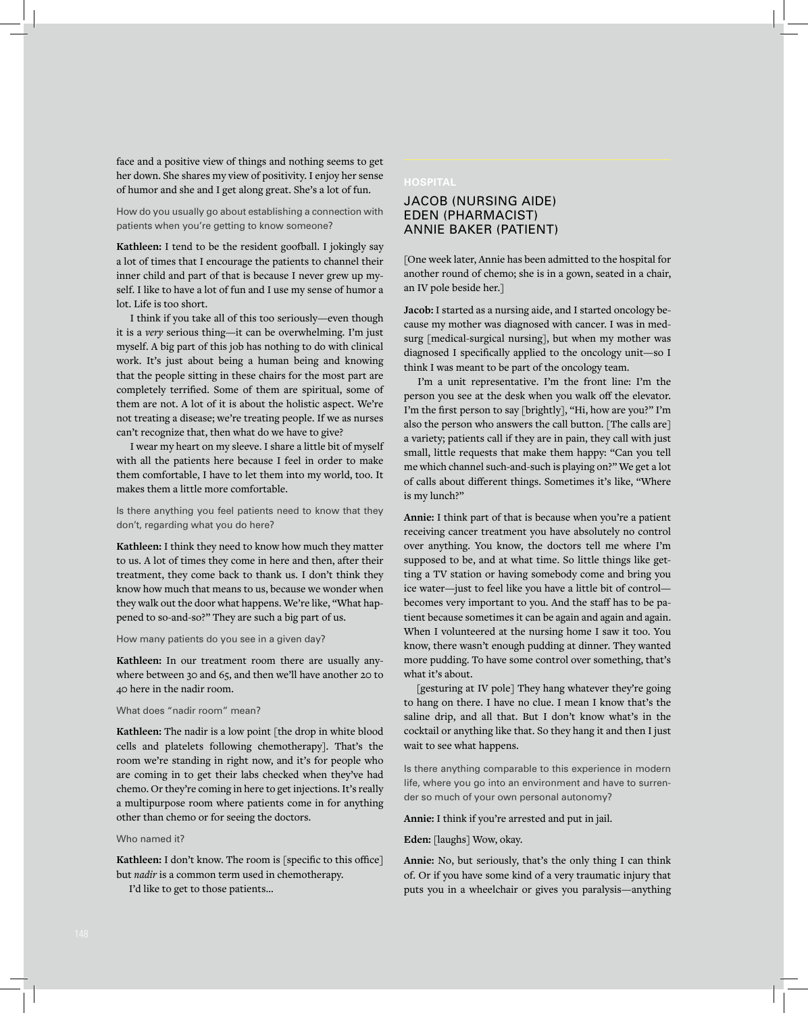face and a positive view of things and nothing seems to get her down. She shares my view of positivity. I enjoy her sense of humor and she and I get along great. She's a lot of fun.

How do you usually go about establishing a connection with patients when you're getting to know someone?

**Kathleen:** I tend to be the resident goofball. I jokingly say a lot of times that I encourage the patients to channel their inner child and part of that is because I never grew up myself. I like to have a lot of fun and I use my sense of humor a lot. Life is too short.

I think if you take all of this too seriously—even though it is a *very* serious thing—it can be overwhelming. I'm just myself. A big part of this job has nothing to do with clinical work. It's just about being a human being and knowing that the people sitting in these chairs for the most part are completely terrified. Some of them are spiritual, some of them are not. A lot of it is about the holistic aspect. We're not treating a disease; we're treating people. If we as nurses can't recognize that, then what do we have to give?

I wear my heart on my sleeve. I share a little bit of myself with all the patients here because I feel in order to make them comfortable, I have to let them into my world, too. It makes them a little more comfortable.

Is there anything you feel patients need to know that they don't, regarding what you do here?

**Kathleen:** I think they need to know how much they matter to us. A lot of times they come in here and then, after their treatment, they come back to thank us. I don't think they know how much that means to us, because we wonder when they walk out the door what happens. We're like, "What happened to so-and-so?" They are such a big part of us.

#### How many patients do you see in a given day?

**Kathleen:** In our treatment room there are usually anywhere between 30 and 65, and then we'll have another 20 to 40 here in the nadir room.

#### What does "nadir room" mean?

**Kathleen:** The nadir is a low point [the drop in white blood cells and platelets following chemotherapy]. That's the room we're standing in right now, and it's for people who are coming in to get their labs checked when they've had chemo. Or they're coming in here to get injections. It's really a multipurpose room where patients come in for anything other than chemo or for seeing the doctors.

#### Who named it?

**Kathleen:** I don't know. The room is [specific to this office] but *nadir* is a common term used in chemotherapy.

I'd like to get to those patients...

#### **HOSPITAL**

# JACOB (NURSING AIDE) EDEN (PHARMACIST) ANNIE BAKER (PATIENT)

[One week later, Annie has been admitted to the hospital for another round of chemo; she is in a gown, seated in a chair, an IV pole beside her.]

**Jacob:** I started as a nursing aide, and I started oncology because my mother was diagnosed with cancer. I was in medsurg [medical-surgical nursing], but when my mother was diagnosed I specifically applied to the oncology unit—so I think I was meant to be part of the oncology team.

I'm a unit representative. I'm the front line: I'm the person you see at the desk when you walk off the elevator. I'm the first person to say [brightly], "Hi, how are you?" I'm also the person who answers the call button. [The calls are] a variety; patients call if they are in pain, they call with just small, little requests that make them happy: "Can you tell me which channel such-and-such is playing on?" We get a lot of calls about different things. Sometimes it's like, "Where is my lunch?"

**Annie:** I think part of that is because when you're a patient receiving cancer treatment you have absolutely no control over anything. You know, the doctors tell me where I'm supposed to be, and at what time. So little things like getting a TV station or having somebody come and bring you ice water—just to feel like you have a little bit of control becomes very important to you. And the staff has to be patient because sometimes it can be again and again and again. When I volunteered at the nursing home I saw it too. You know, there wasn't enough pudding at dinner. They wanted more pudding. To have some control over something, that's what it's about.

[gesturing at IV pole] They hang whatever they're going to hang on there. I have no clue. I mean I know that's the saline drip, and all that. But I don't know what's in the cocktail or anything like that. So they hang it and then I just wait to see what happens.

Is there anything comparable to this experience in modern life, where you go into an environment and have to surrender so much of your own personal autonomy?

#### **Annie:** I think if you're arrested and put in jail.

**Eden:** [laughs] Wow, okay.

**Annie:** No, but seriously, that's the only thing I can think of. Or if you have some kind of a very traumatic injury that puts you in a wheelchair or gives you paralysis—anything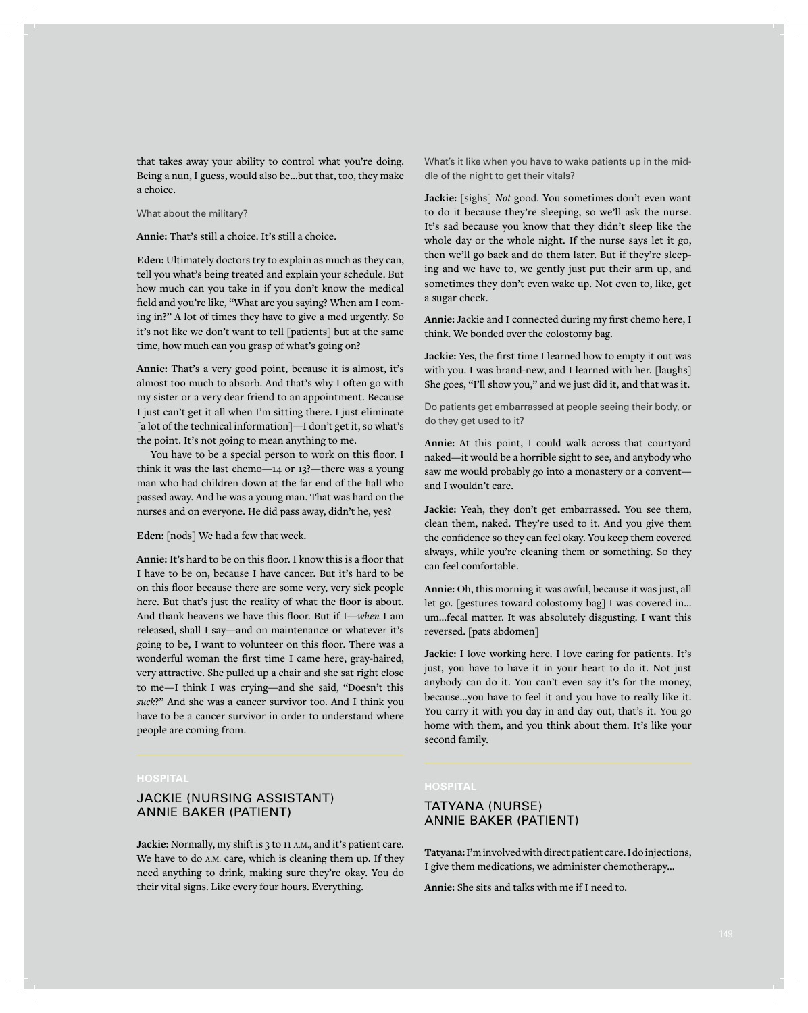that takes away your ability to control what you're doing. Being a nun, I guess, would also be...but that, too, they make a choice.

#### What about the military?

#### **Annie:** That's still a choice. It's still a choice.

**Eden:** Ultimately doctors try to explain as much as they can, tell you what's being treated and explain your schedule. But how much can you take in if you don't know the medical field and you're like, "What are you saying? When am I coming in?" A lot of times they have to give a med urgently. So it's not like we don't want to tell [patients] but at the same time, how much can you grasp of what's going on?

**Annie:** That's a very good point, because it is almost, it's almost too much to absorb. And that's why I often go with my sister or a very dear friend to an appointment. Because I just can't get it all when I'm sitting there. I just eliminate [a lot of the technical information]—I don't get it, so what's the point. It's not going to mean anything to me.

You have to be a special person to work on this floor. I think it was the last chemo—14 or 13?—there was a young man who had children down at the far end of the hall who passed away. And he was a young man. That was hard on the nurses and on everyone. He did pass away, didn't he, yes?

#### **Eden:** [nods] We had a few that week.

**Annie:** It's hard to be on this floor. I know this is a floor that I have to be on, because I have cancer. But it's hard to be on this floor because there are some very, very sick people here. But that's just the reality of what the floor is about. And thank heavens we have this floor. But if I—*when* I am released, shall I say—and on maintenance or whatever it's going to be, I want to volunteer on this floor. There was a wonderful woman the first time I came here, gray-haired, very attractive. She pulled up a chair and she sat right close to me—I think I was crying—and she said, "Doesn't this *suck*?" And she was a cancer survivor too. And I think you have to be a cancer survivor in order to understand where people are coming from.

# JACKIE (NURSING ASSISTANT) ANNIE BAKER (PATIENT)

**Jackie:** Normally, my shift is 3 to 11 A.M., and it's patient care. We have to do A.M. care, which is cleaning them up. If they need anything to drink, making sure they're okay. You do their vital signs. Like every four hours. Everything.

What's it like when you have to wake patients up in the middle of the night to get their vitals?

**Jackie:** [sighs] *Not* good. You sometimes don't even want to do it because they're sleeping, so we'll ask the nurse. It's sad because you know that they didn't sleep like the whole day or the whole night. If the nurse says let it go, then we'll go back and do them later. But if they're sleeping and we have to, we gently just put their arm up, and sometimes they don't even wake up. Not even to, like, get a sugar check.

**Annie:** Jackie and I connected during my first chemo here, I think. We bonded over the colostomy bag.

**Jackie:** Yes, the first time I learned how to empty it out was with you. I was brand-new, and I learned with her. [laughs] She goes, "I'll show you," and we just did it, and that was it.

Do patients get embarrassed at people seeing their body, or do they get used to it?

**Annie:** At this point, I could walk across that courtyard naked—it would be a horrible sight to see, and anybody who saw me would probably go into a monastery or a convent and I wouldn't care.

**Jackie:** Yeah, they don't get embarrassed. You see them, clean them, naked. They're used to it. And you give them the confidence so they can feel okay. You keep them covered always, while you're cleaning them or something. So they can feel comfortable.

**Annie:** Oh, this morning it was awful, because it was just, all let go. [gestures toward colostomy bag] I was covered in... um...fecal matter. It was absolutely disgusting. I want this reversed. [pats abdomen]

**Jackie:** I love working here. I love caring for patients. It's just, you have to have it in your heart to do it. Not just anybody can do it. You can't even say it's for the money, because...you have to feel it and you have to really like it. You carry it with you day in and day out, that's it. You go home with them, and you think about them. It's like your second family.

# TATYANA (NURSE) ANNIE BAKER (PATIENT)

**Tatyana:** I'm involved with direct patient care. I do injections, I give them medications, we administer chemotherapy...

**Annie:** She sits and talks with me if I need to.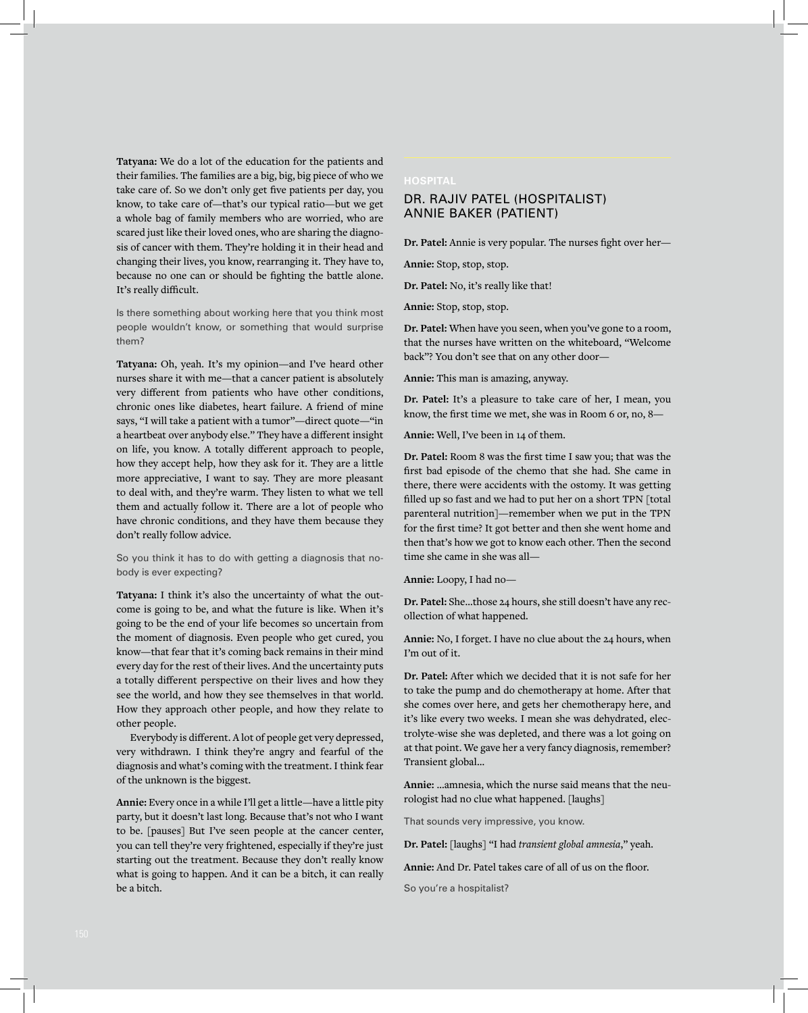**Tatyana:** We do a lot of the education for the patients and their families. The families are a big, big, big piece of who we take care of. So we don't only get five patients per day, you know, to take care of—that's our typical ratio—but we get a whole bag of family members who are worried, who are scared just like their loved ones, who are sharing the diagnosis of cancer with them. They're holding it in their head and changing their lives, you know, rearranging it. They have to, because no one can or should be fighting the battle alone. It's really difficult.

Is there something about working here that you think most people wouldn't know, or something that would surprise them?

**Tatyana:** Oh, yeah. It's my opinion—and I've heard other nurses share it with me—that a cancer patient is absolutely very different from patients who have other conditions, chronic ones like diabetes, heart failure. A friend of mine says, "I will take a patient with a tumor"—direct quote—"in a heartbeat over anybody else." They have a different insight on life, you know. A totally different approach to people, how they accept help, how they ask for it. They are a little more appreciative, I want to say. They are more pleasant to deal with, and they're warm. They listen to what we tell them and actually follow it. There are a lot of people who have chronic conditions, and they have them because they don't really follow advice.

So you think it has to do with getting a diagnosis that nobody is ever expecting?

**Tatyana:** I think it's also the uncertainty of what the outcome is going to be, and what the future is like. When it's going to be the end of your life becomes so uncertain from the moment of diagnosis. Even people who get cured, you know—that fear that it's coming back remains in their mind every day for the rest of their lives. And the uncertainty puts a totally different perspective on their lives and how they see the world, and how they see themselves in that world. How they approach other people, and how they relate to other people.

Everybody is different. A lot of people get very depressed, very withdrawn. I think they're angry and fearful of the diagnosis and what's coming with the treatment. I think fear of the unknown is the biggest.

**Annie:** Every once in a while I'll get a little—have a little pity party, but it doesn't last long. Because that's not who I want to be. [pauses] But I've seen people at the cancer center, you can tell they're very frightened, especially if they're just starting out the treatment. Because they don't really know what is going to happen. And it can be a bitch, it can really be a bitch.

# DR. RAJIV PATEL (HOSPITALIST) ANNIE BAKER (PATIENT)

**Dr. Patel:** Annie is very popular. The nurses fight over her—

**Annie:** Stop, stop, stop.

**Dr. Patel:** No, it's really like that!

**Annie:** Stop, stop, stop.

**Dr. Patel:** When have you seen, when you've gone to a room, that the nurses have written on the whiteboard, "Welcome back"? You don't see that on any other door—

**Annie:** This man is amazing, anyway.

**Dr. Patel:** It's a pleasure to take care of her, I mean, you know, the first time we met, she was in Room 6 or, no, 8—

**Annie:** Well, I've been in 14 of them.

**Dr. Patel:** Room 8 was the first time I saw you; that was the first bad episode of the chemo that she had. She came in there, there were accidents with the ostomy. It was getting filled up so fast and we had to put her on a short TPN [total parenteral nutrition]—remember when we put in the TPN for the first time? It got better and then she went home and then that's how we got to know each other. Then the second time she came in she was all—

**Annie:** Loopy, I had no—

**Dr. Patel:** She...those 24 hours, she still doesn't have any recollection of what happened.

**Annie:** No, I forget. I have no clue about the 24 hours, when I'm out of it.

**Dr. Patel:** After which we decided that it is not safe for her to take the pump and do chemotherapy at home. After that she comes over here, and gets her chemotherapy here, and it's like every two weeks. I mean she was dehydrated, electrolyte-wise she was depleted, and there was a lot going on at that point. We gave her a very fancy diagnosis, remember? Transient global...

**Annie:** ...amnesia, which the nurse said means that the neurologist had no clue what happened. [laughs]

That sounds very impressive, you know.

**Dr. Patel:** [laughs] "I had *transient global amnesia*," yeah.

**Annie:** And Dr. Patel takes care of all of us on the floor.

So you're a hospitalist?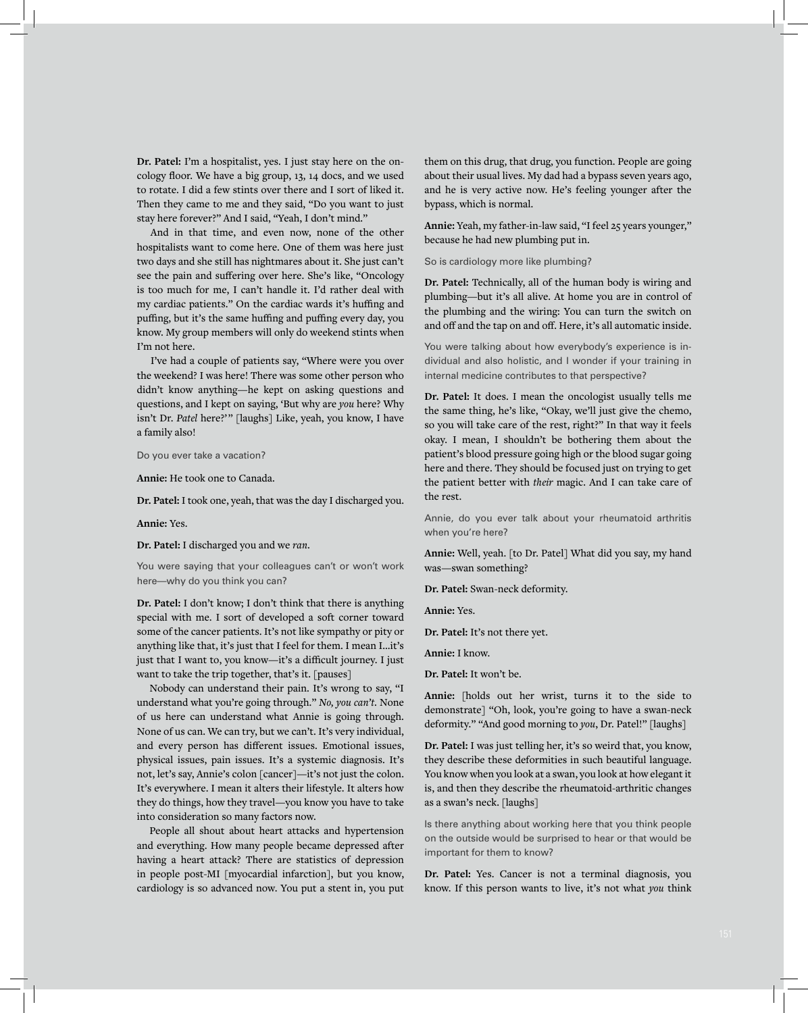**Dr. Patel:** I'm a hospitalist, yes. I just stay here on the oncology floor. We have a big group, 13, 14 docs, and we used to rotate. I did a few stints over there and I sort of liked it. Then they came to me and they said, "Do you want to just stay here forever?" And I said, "Yeah, I don't mind."

And in that time, and even now, none of the other hospitalists want to come here. One of them was here just two days and she still has nightmares about it. She just can't see the pain and suffering over here. She's like, "Oncology is too much for me, I can't handle it. I'd rather deal with my cardiac patients." On the cardiac wards it's huffing and puffing, but it's the same huffing and puffing every day, you know. My group members will only do weekend stints when I'm not here.

I've had a couple of patients say, "Where were you over the weekend? I was here! There was some other person who didn't know anything—he kept on asking questions and questions, and I kept on saying, 'But why are *you* here? Why isn't Dr. Patel here?'" [laughs] Like, yeah, you know, I have a family also!

Do you ever take a vacation?

**Annie:** He took one to Canada.

**Dr. Patel:** I took one, yeah, that was the day I discharged you.

#### **Annie:** Yes.

#### **Dr. Patel:** I discharged you and we *ran*.

You were saying that your colleagues can't or won't work here—why do you think you can?

**Dr. Patel:** I don't know; I don't think that there is anything special with me. I sort of developed a soft corner toward some of the cancer patients. It's not like sympathy or pity or anything like that, it's just that I feel for them. I mean I...it's just that I want to, you know—it's a difficult journey. I just want to take the trip together, that's it. [pauses]

Nobody can understand their pain. It's wrong to say, "I understand what you're going through." *No, you can't*. None of us here can understand what Annie is going through. None of us can. We can try, but we can't. It's very individual, and every person has different issues. Emotional issues, physical issues, pain issues. It's a systemic diagnosis. It's not, let's say, Annie's colon [cancer]—it's not just the colon. It's everywhere. I mean it alters their lifestyle. It alters how they do things, how they travel—you know you have to take into consideration so many factors now.

People all shout about heart attacks and hypertension and everything. How many people became depressed after having a heart attack? There are statistics of depression in people post-MI [myocardial infarction], but you know, cardiology is so advanced now. You put a stent in, you put

them on this drug, that drug, you function. People are going about their usual lives. My dad had a bypass seven years ago, and he is very active now. He's feeling younger after the bypass, which is normal.

**Annie:** Yeah, my father-in-law said, "I feel 25 years younger," because he had new plumbing put in.

So is cardiology more like plumbing?

**Dr. Patel:** Technically, all of the human body is wiring and plumbing—but it's all alive. At home you are in control of the plumbing and the wiring: You can turn the switch on and off and the tap on and off. Here, it's all automatic inside.

You were talking about how everybody's experience is individual and also holistic, and I wonder if your training in internal medicine contributes to that perspective?

**Dr. Patel:** It does. I mean the oncologist usually tells me the same thing, he's like, "Okay, we'll just give the chemo, so you will take care of the rest, right?" In that way it feels okay. I mean, I shouldn't be bothering them about the patient's blood pressure going high or the blood sugar going here and there. They should be focused just on trying to get the patient better with *their* magic. And I can take care of the rest.

Annie, do you ever talk about your rheumatoid arthritis when you're here?

**Annie:** Well, yeah. [to Dr. Patel] What did you say, my hand was—swan something?

**Dr. Patel:** Swan-neck deformity.

**Annie:** Yes.

**Dr. Patel:** It's not there yet.

**Annie:** I know.

**Dr. Patel:** It won't be.

**Annie:** [holds out her wrist, turns it to the side to demonstrate] "Oh, look, you're going to have a swan-neck deformity." "And good morning to *you*, Dr. Patel!" [laughs]

**Dr. Patel:** I was just telling her, it's so weird that, you know, they describe these deformities in such beautiful language. You know when you look at a swan, you look at how elegant it is, and then they describe the rheumatoid-arthritic changes as a swan's neck. [laughs]

Is there anything about working here that you think people on the outside would be surprised to hear or that would be important for them to know?

**Dr. Patel:** Yes. Cancer is not a terminal diagnosis, you know. If this person wants to live, it's not what *you* think